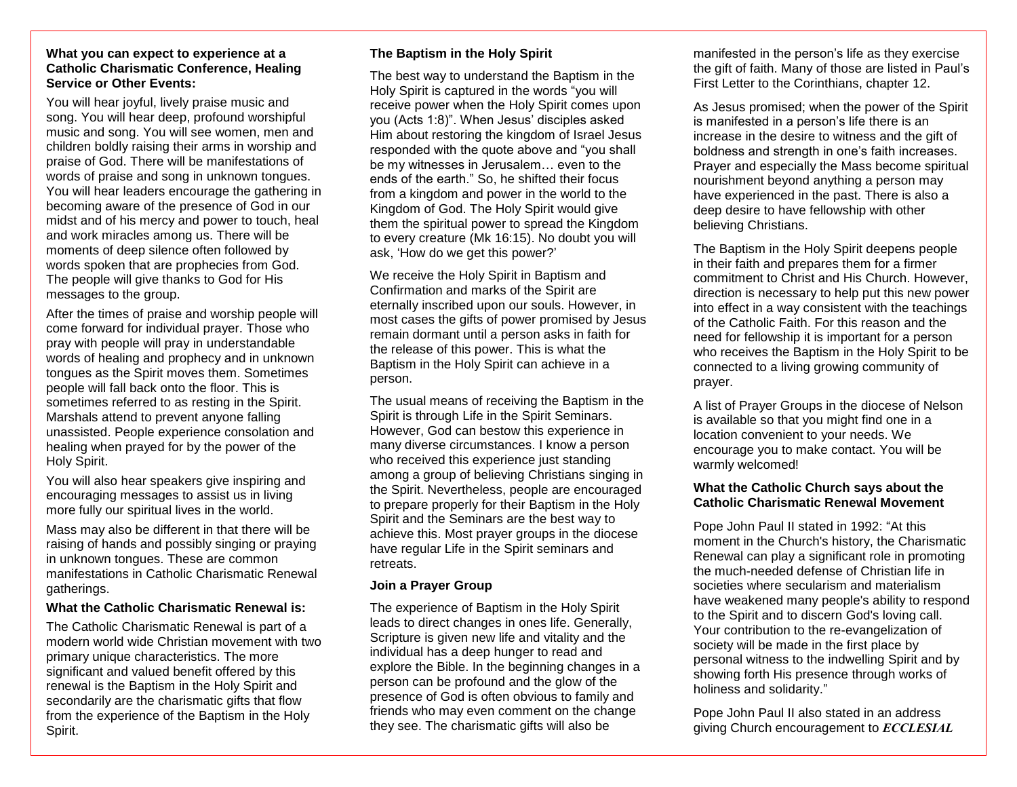### **What you can expect to experience at a Catholic Charismatic Conference, Healing Service or Other Events:**

You will hear joyful, lively praise music and song. You will hear deep, profound worshipful music and song. You will see women, men and children boldly raising their arms in worship and praise of God. There will be manifestations of words of praise and song in unknown tongues. You will hear leaders encourage the gathering in becoming aware of the presence of God in our midst and of his mercy and power to touch, heal and work miracles among us. There will be moments of deep silence often followed by words spoken that are prophecies from God. The people will give thanks to God for His messages to the group.

After the times of praise and worship people will come forward for individual prayer. Those who pray with people will pray in understandable words of healing and prophecy and in unknown tongues as the Spirit moves them. Sometimes people will fall back onto the floor. This is sometimes referred to as resting in the Spirit. Marshals attend to prevent anyone falling unassisted. People experience consolation and healing when prayed for by the power of the Holy Spirit.

You will also hear speakers give inspiring and encouraging messages to assist us in living more fully our spiritual lives in the world.

Mass may also be different in that there will be raising of hands and possibly singing or praying in unknown tongues. These are common manifestations in Catholic Charismatic Renewal gatherings.

## **What the Catholic Charismatic Renewal is:**

The Catholic Charismatic Renewal is part of a modern world wide Christian movement with two primary unique characteristics. The more significant and valued benefit offered by this renewal is the Baptism in the Holy Spirit and secondarily are the charismatic gifts that flow from the experience of the Baptism in the Holy Spirit.

## **The Baptism in the Holy Spirit**

The best way to understand the Baptism in the Holy Spirit is captured in the words "you will receive power when the Holy Spirit comes upon you (Acts 1:8)". When Jesus' disciples asked Him about restoring the kingdom of Israel Jesus responded with the quote above and "you shall be my witnesses in Jerusalem… even to the ends of the earth." So, he shifted their focus from a kingdom and power in the world to the Kingdom of God. The Holy Spirit would give them the spiritual power to spread the Kingdom to every creature (Mk 16:15). No doubt you will ask, 'How do we get this power?'

We receive the Holy Spirit in Baptism and Confirmation and marks of the Spirit are eternally inscribed upon our souls. However, in most cases the gifts of power promised by Jesus remain dormant until a person asks in faith for the release of this power. This is what the Baptism in the Holy Spirit can achieve in a person.

The usual means of receiving the Baptism in the Spirit is through Life in the Spirit Seminars. However, God can bestow this experience in many diverse circumstances. I know a person who received this experience just standing among a group of believing Christians singing in the Spirit. Nevertheless, people are encouraged to prepare properly for their Baptism in the Holy Spirit and the Seminars are the best way to achieve this. Most prayer groups in the diocese have regular Life in the Spirit seminars and retreats.

## **Join a Prayer Group**

The experience of Baptism in the Holy Spirit leads to direct changes in ones life. Generally, Scripture is given new life and vitality and the individual has a deep hunger to read and explore the Bible. In the beginning changes in a person can be profound and the glow of the presence of God is often obvious to family and friends who may even comment on the change they see. The charismatic gifts will also be

manifested in the person's life as they exercise the gift of faith. Many of those are listed in Paul's First Letter to the Corinthians, chapter 12.

As Jesus promised; when the power of the Spirit is manifested in a person's life there is an increase in the desire to witness and the gift of boldness and strength in one's faith increases. Prayer and especially the Mass become spiritual nourishment beyond anything a person may have experienced in the past. There is also a deep desire to have fellowship with other believing Christians.

The Baptism in the Holy Spirit deepens people in their faith and prepares them for a firmer commitment to Christ and His Church. However, direction is necessary to help put this new power into effect in a way consistent with the teachings of the Catholic Faith. For this reason and the need for fellowship it is important for a person who receives the Baptism in the Holy Spirit to be connected to a living growing community of prayer.

A list of Prayer Groups in the diocese of Nelson is available so that you might find one in a location convenient to your needs. We encourage you to make contact. You will be warmly welcomed!

## **What the Catholic Church says about the Catholic Charismatic Renewal Movement**

Pope John Paul II stated in 1992: "At this moment in the Church's history, the Charismatic Renewal can play a significant role in promoting the much-needed defense of Christian life in societies where secularism and materialism have weakened many people's ability to respond to the Spirit and to discern God's loving call. Your contribution to the re-evangelization of society will be made in the first place by personal witness to the indwelling Spirit and by showing forth His presence through works of holiness and solidarity."

Pope John Paul II also stated in an address giving Church encouragement to *ECCLESIAL*